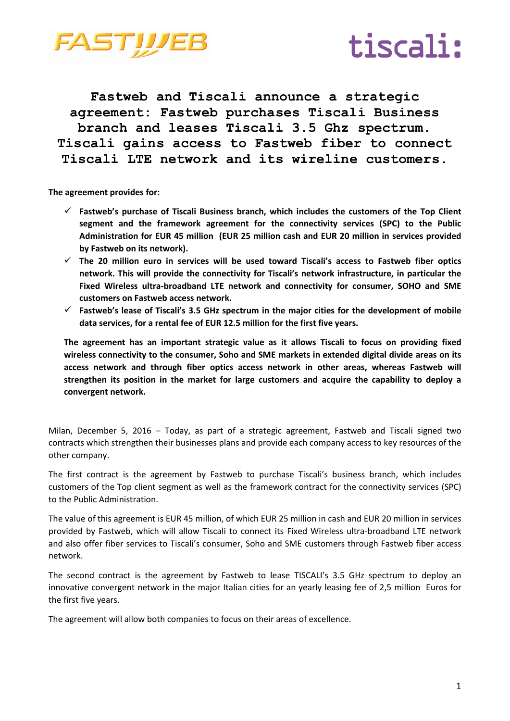



**Fastweb and Tiscali announce a strategic agreement: Fastweb purchases Tiscali Business branch and leases Tiscali 3.5 Ghz spectrum. Tiscali gains access to Fastweb fiber to connect Tiscali LTE network and its wireline customers.**

**The agreement provides for:**

- **Fastweb's purchase of Tiscali Business branch, which includes the customers of the Top Client segment and the framework agreement for the connectivity services (SPC) to the Public Administration for EUR 45 million (EUR 25 million cash and EUR 20 million in services provided by Fastweb on its network).**
- **The 20 million euro in services will be used toward Tiscali's access to Fastweb fiber optics network. This will provide the connectivity for Tiscali's network infrastructure, in particular the Fixed Wireless ultra-broadband LTE network and connectivity for consumer, SOHO and SME customers on Fastweb access network.**
- **Fastweb's lease of Tiscali's 3.5 GHz spectrum in the major cities for the development of mobile data services, for a rental fee of EUR 12.5 million for the first five years.**

**The agreement has an important strategic value as it allows Tiscali to focus on providing fixed wireless connectivity to the consumer, Soho and SME markets in extended digital divide areas on its access network and through fiber optics access network in other areas, whereas Fastweb will strengthen its position in the market for large customers and acquire the capability to deploy a convergent network.** 

Milan, December 5, 2016 – Today, as part of a strategic agreement, Fastweb and Tiscali signed two contracts which strengthen their businesses plans and provide each company access to key resources of the other company.

The first contract is the agreement by Fastweb to purchase Tiscali's business branch, which includes customers of the Top client segment as well as the framework contract for the connectivity services (SPC) to the Public Administration.

The value of this agreement is EUR 45 million, of which EUR 25 million in cash and EUR 20 million in services provided by Fastweb, which will allow Tiscali to connect its Fixed Wireless ultra-broadband LTE network and also offer fiber services to Tiscali's consumer, Soho and SME customers through Fastweb fiber access network.

The second contract is the agreement by Fastweb to lease TISCALI's 3.5 GHz spectrum to deploy an innovative convergent network in the major Italian cities for an yearly leasing fee of 2,5 million Euros for the first five years.

The agreement will allow both companies to focus on their areas of excellence.